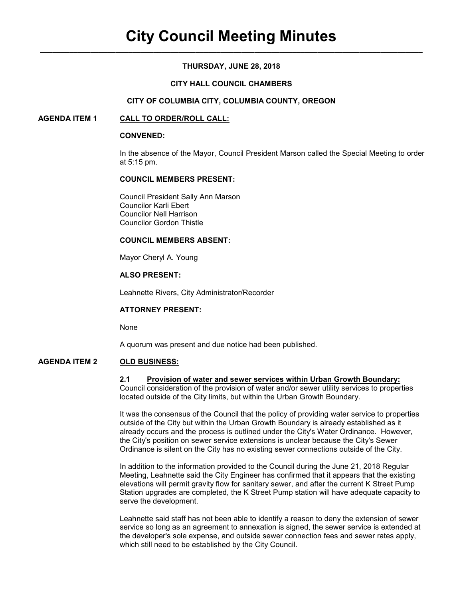## **THURSDAY, JUNE 28, 2018**

## **CITY HALL COUNCIL CHAMBERS**

### **CITY OF COLUMBIA CITY, COLUMBIA COUNTY, OREGON**

## **AGENDA ITEM 1 CALL TO ORDER/ROLL CALL:**

### **CONVENED:**

In the absence of the Mayor, Council President Marson called the Special Meeting to order at 5:15 pm.

### **COUNCIL MEMBERS PRESENT:**

 Council President Sally Ann Marson Councilor Karli Ebert Councilor Nell Harrison Councilor Gordon Thistle

### **COUNCIL MEMBERS ABSENT:**

Mayor Cheryl A. Young

# **ALSO PRESENT:**

Leahnette Rivers, City Administrator/Recorder

## **ATTORNEY PRESENT:**

None

A quorum was present and due notice had been published.

# **AGENDA ITEM 2 OLD BUSINESS:**

#### **2.1 Provision of water and sewer services within Urban Growth Boundary:**

Council consideration of the provision of water and/or sewer utility services to properties located outside of the City limits, but within the Urban Growth Boundary.

It was the consensus of the Council that the policy of providing water service to properties outside of the City but within the Urban Growth Boundary is already established as it already occurs and the process is outlined under the City's Water Ordinance. However, the City's position on sewer service extensions is unclear because the City's Sewer Ordinance is silent on the City has no existing sewer connections outside of the City.

In addition to the information provided to the Council during the June 21, 2018 Regular Meeting, Leahnette said the City Engineer has confirmed that it appears that the existing elevations will permit gravity flow for sanitary sewer, and after the current K Street Pump Station upgrades are completed, the K Street Pump station will have adequate capacity to serve the development.

Leahnette said staff has not been able to identify a reason to deny the extension of sewer service so long as an agreement to annexation is signed, the sewer service is extended at the developer's sole expense, and outside sewer connection fees and sewer rates apply, which still need to be established by the City Council.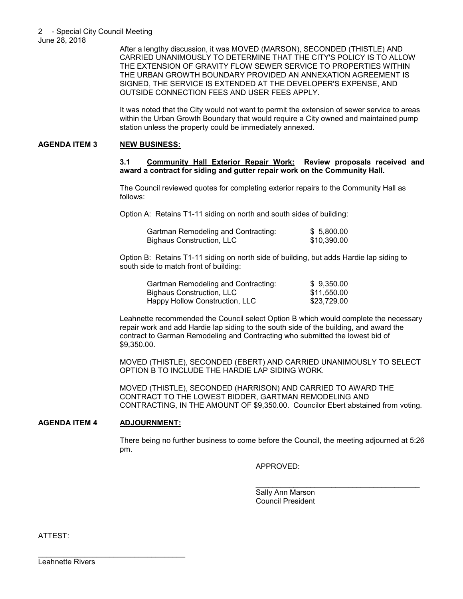After a lengthy discussion, it was MOVED (MARSON), SECONDED (THISTLE) AND CARRIED UNANIMOUSLY TO DETERMINE THAT THE CITY'S POLICY IS TO ALLOW THE EXTENSION OF GRAVITY FLOW SEWER SERVICE TO PROPERTIES WITHIN THE URBAN GROWTH BOUNDARY PROVIDED AN ANNEXATION AGREEMENT IS SIGNED, THE SERVICE IS EXTENDED AT THE DEVELOPER'S EXPENSE, AND OUTSIDE CONNECTION FEES AND USER FEES APPLY.

It was noted that the City would not want to permit the extension of sewer service to areas within the Urban Growth Boundary that would require a City owned and maintained pump station unless the property could be immediately annexed.

## **AGENDA ITEM 3 NEW BUSINESS:**

**3.1 Community Hall Exterior Repair Work: Review proposals received and award a contract for siding and gutter repair work on the Community Hall.** 

The Council reviewed quotes for completing exterior repairs to the Community Hall as follows:

Option A: Retains T1-11 siding on north and south sides of building:

| Gartman Remodeling and Contracting: | \$ 5,800.00 |
|-------------------------------------|-------------|
| Bighaus Construction, LLC           | \$10,390.00 |

Option B: Retains T1-11 siding on north side of building, but adds Hardie lap siding to south side to match front of building:

| Gartman Remodeling and Contracting:<br>Bighaus Construction, LLC | \$9,350.00  |
|------------------------------------------------------------------|-------------|
|                                                                  | \$11.550.00 |
| Happy Hollow Construction, LLC                                   | \$23.729.00 |

Leahnette recommended the Council select Option B which would complete the necessary repair work and add Hardie lap siding to the south side of the building, and award the contract to Garman Remodeling and Contracting who submitted the lowest bid of \$9,350.00.

MOVED (THISTLE), SECONDED (EBERT) AND CARRIED UNANIMOUSLY TO SELECT OPTION B TO INCLUDE THE HARDIE LAP SIDING WORK.

MOVED (THISTLE), SECONDED (HARRISON) AND CARRIED TO AWARD THE CONTRACT TO THE LOWEST BIDDER, GARTMAN REMODELING AND CONTRACTING, IN THE AMOUNT OF \$9,350.00. Councilor Ebert abstained from voting.

## **AGENDA ITEM 4 ADJOURNMENT:**

\_\_\_\_\_\_\_\_\_\_\_\_\_\_\_\_\_\_\_\_\_\_\_\_\_\_\_\_\_\_\_\_\_\_\_

There being no further business to come before the Council, the meeting adjourned at 5:26 pm.

 $\mathcal{L}_\mathcal{L} = \{ \mathcal{L}_\mathcal{L} = \{ \mathcal{L}_\mathcal{L} = \{ \mathcal{L}_\mathcal{L} = \{ \mathcal{L}_\mathcal{L} = \{ \mathcal{L}_\mathcal{L} = \{ \mathcal{L}_\mathcal{L} = \{ \mathcal{L}_\mathcal{L} = \{ \mathcal{L}_\mathcal{L} = \{ \mathcal{L}_\mathcal{L} = \{ \mathcal{L}_\mathcal{L} = \{ \mathcal{L}_\mathcal{L} = \{ \mathcal{L}_\mathcal{L} = \{ \mathcal{L}_\mathcal{L} = \{ \mathcal{L}_\mathcal{$ 

APPROVED:

 Sally Ann Marson Council President

ATTEST: